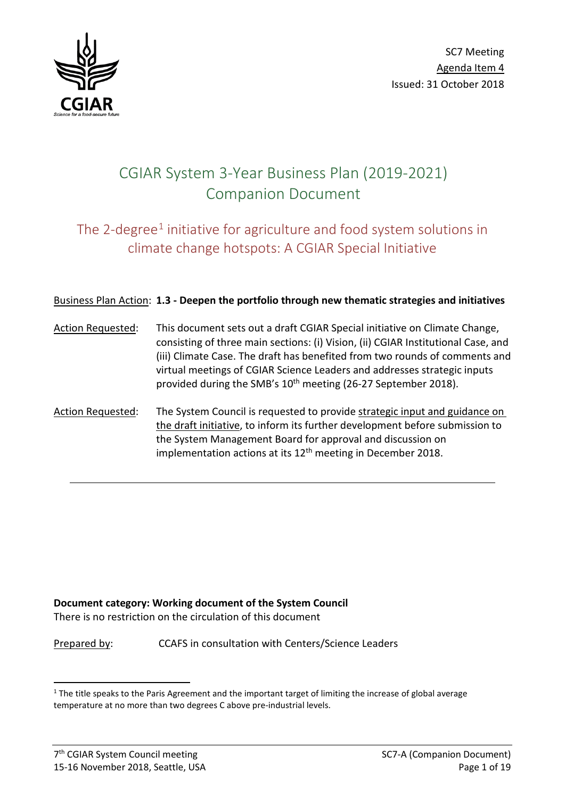

# CGIAR System 3-Year Business Plan (2019-2021) Companion Document

# The 2-degree<sup>[1](#page-0-0)</sup> initiative for agriculture and food system solutions in climate change hotspots: A CGIAR Special Initiative

## Business Plan Action: **1.3 - Deepen the portfolio through new thematic strategies and initiatives**

- Action Requested: This document sets out a draft CGIAR Special initiative on Climate Change, consisting of three main sections: (i) Vision, (ii) CGIAR Institutional Case, and (iii) Climate Case. The draft has benefited from two rounds of comments and virtual meetings of CGIAR Science Leaders and addresses strategic inputs provided during the SMB's 10<sup>th</sup> meeting (26-27 September 2018).
- Action Requested: The System Council is requested to provide strategic input and guidance on the draft initiative, to inform its further development before submission to the System Management Board for approval and discussion on implementation actions at its  $12<sup>th</sup>$  meeting in December 2018.

#### **Document category: Working document of the System Council**

There is no restriction on the circulation of this document

Prepared by: CCAFS in consultation with Centers/Science Leaders

<span id="page-0-0"></span> $1$  The title speaks to the Paris Agreement and the important target of limiting the increase of global average temperature at no more than two degrees C above pre-industrial levels.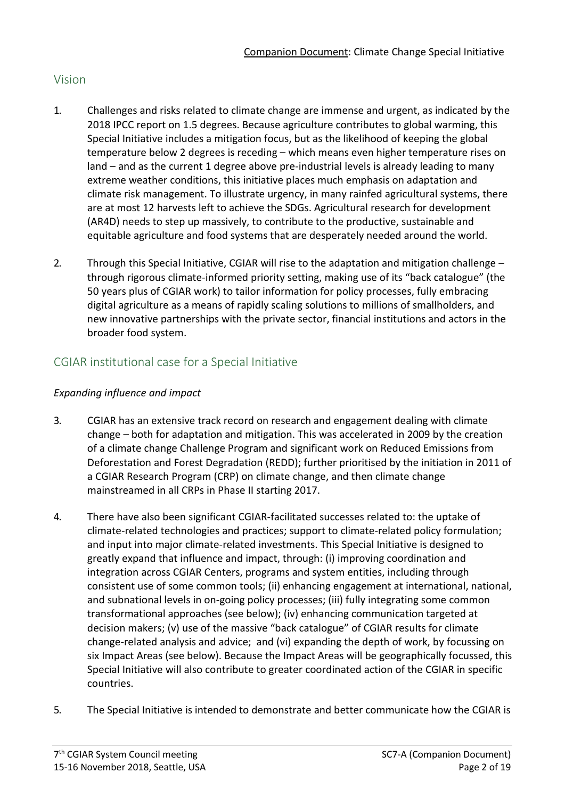# Vision

- 1. Challenges and risks related to climate change are immense and urgent, as indicated by the 2018 IPCC report on 1.5 degrees. Because agriculture contributes to global warming, this Special Initiative includes a mitigation focus, but as the likelihood of keeping the global temperature below 2 degrees is receding – which means even higher temperature rises on land – and as the current 1 degree above pre-industrial levels is already leading to many extreme weather conditions, this initiative places much emphasis on adaptation and climate risk management. To illustrate urgency, in many rainfed agricultural systems, there are at most 12 harvests left to achieve the SDGs. Agricultural research for development (AR4D) needs to step up massively, to contribute to the productive, sustainable and equitable agriculture and food systems that are desperately needed around the world.
- 2. Through this Special Initiative, CGIAR will rise to the adaptation and mitigation challenge through rigorous climate-informed priority setting, making use of its "back catalogue" (the 50 years plus of CGIAR work) to tailor information for policy processes, fully embracing digital agriculture as a means of rapidly scaling solutions to millions of smallholders, and new innovative partnerships with the private sector, financial institutions and actors in the broader food system.

# CGIAR institutional case for a Special Initiative

# *Expanding influence and impact*

- 3. CGIAR has an extensive track record on research and engagement dealing with climate change – both for adaptation and mitigation. This was accelerated in 2009 by the creation of a climate change Challenge Program and significant work on Reduced Emissions from Deforestation and Forest Degradation (REDD); further prioritised by the initiation in 2011 of a CGIAR Research Program (CRP) on climate change, and then climate change mainstreamed in all CRPs in Phase II starting 2017.
- 4. There have also been significant CGIAR-facilitated successes related to: the uptake of climate-related technologies and practices; support to climate-related policy formulation; and input into major climate-related investments. This Special Initiative is designed to greatly expand that influence and impact, through: (i) improving coordination and integration across CGIAR Centers, programs and system entities, including through consistent use of some common tools; (ii) enhancing engagement at international, national, and subnational levels in on-going policy processes; (iii) fully integrating some common transformational approaches (see below); (iv) enhancing communication targeted at decision makers; (v) use of the massive "back catalogue" of CGIAR results for climate change-related analysis and advice; and (vi) expanding the depth of work, by focussing on six Impact Areas (see below). Because the Impact Areas will be geographically focussed, this Special Initiative will also contribute to greater coordinated action of the CGIAR in specific countries.
- 5. The Special Initiative is intended to demonstrate and better communicate how the CGIAR is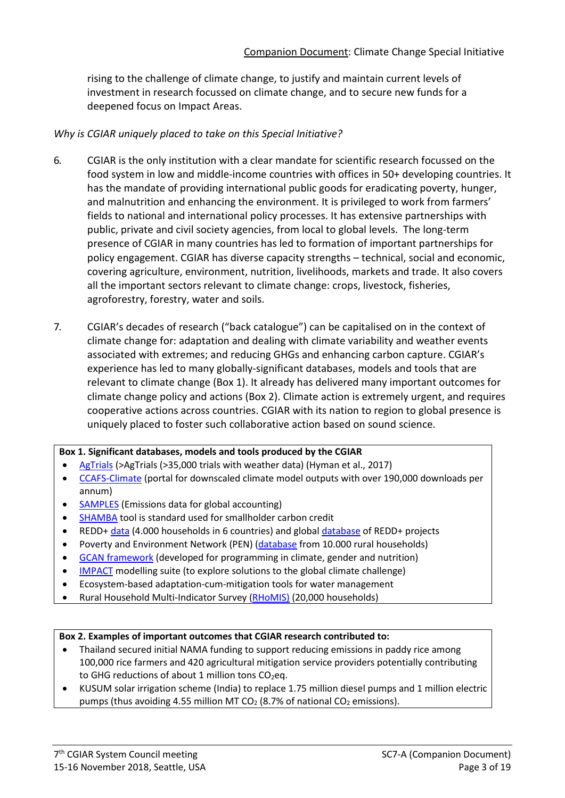rising to the challenge of climate change, to justify and maintain current levels of investment in research focussed on climate change, and to secure new funds for a deepened focus on Impact Areas.

#### *Why is CGIAR uniquely placed to take on this Special Initiative?*

- 6. CGIAR is the only institution with a clear mandate for scientific research focussed on the food system in low and middle-income countries with offices in 50+ developing countries. It has the mandate of providing international public goods for eradicating poverty, hunger, and malnutrition and enhancing the environment. It is privileged to work from farmers' fields to national and international policy processes. It has extensive partnerships with public, private and civil society agencies, from local to global levels. The long-term presence of CGIAR in many countries has led to formation of important partnerships for policy engagement. CGIAR has diverse capacity strengths – technical, social and economic, covering agriculture, environment, nutrition, livelihoods, markets and trade. It also covers all the important sectors relevant to climate change: crops, livestock, fisheries, agroforestry, forestry, water and soils.
- 7. CGIAR's decades of research ("back catalogue") can be capitalised on in the context of climate change for: adaptation and dealing with climate variability and weather events associated with extremes; and reducing GHGs and enhancing carbon capture. CGIAR's experience has led to many globally-significant databases, models and tools that are relevant to climate change (Box 1). It already has delivered many important outcomes for climate change policy and actions (Box 2). Climate action is extremely urgent, and requires cooperative actions across countries. CGIAR with its nation to region to global presence is uniquely placed to foster such collaborative action based on sound science.

#### **Box 1. Significant databases, models and tools produced by the CGIAR**

- [AgTrials](http://www.agtrials.org/) ([>AgTrials](http://www.agtrials.org/) (>35,000 trials with weather data) (Hyman et al., 2017)
- [CCAFS-Climate](http://ccafs-climate.org/) (portal for downscaled climate model outputs with over 190,000 downloads per annum)
- [SAMPLES](http://samples.ccafs.cgiar.org/) (Emissions data for global accounting)
- [SHAMBA](https://ccafs.cgiar.org/small-holder-agriculture-monitoring-and-baseline-assessment-shamba) tool is standard used for smallholder carbon credit
- REDD[+ data](https://www.cifor.org/gcs/) (4.000 households in 6 countries) and global [database](http://www.reddprojectsdatabase.org/) of REDD+ projects
- Poverty and Environment Network (PEN) [\(database](https://data.cifor.org/dataset.xhtml?persistentId=doi:10.17528/CIFOR/DATA.00021) from 10.000 rural households)
- [GCAN framework](https://gcan.ifpri.info/framework-2/) (developed for programming in climate, gender and nutrition)
- **[IMPACT](https://www.ifpri.org/program/impact-model)** modelling suite (to explore solutions to the global climate challenge)
- Ecosystem-based adaptation-cum-mitigation tools for water management
- Rural Household Multi-Indicator Survey [\(RHoMIS\)](https://www.rhomis.org/) (20,000 households)

#### **Box 2. Examples of important outcomes that CGIAR research contributed to:**

- Thailand secured initial NAMA funding to support reducing emissions in paddy rice among 100,000 rice farmers and 420 agricultural mitigation service providers potentially contributing to GHG reductions of about 1 million tons  $CO<sub>2</sub>$ eq.
- KUSUM solar irrigation scheme (India) to replace 1.75 million diesel pumps and 1 million electric pumps (thus avoiding 4.55 million MT  $CO<sub>2</sub>$  (8.7% of national  $CO<sub>2</sub>$  emissions).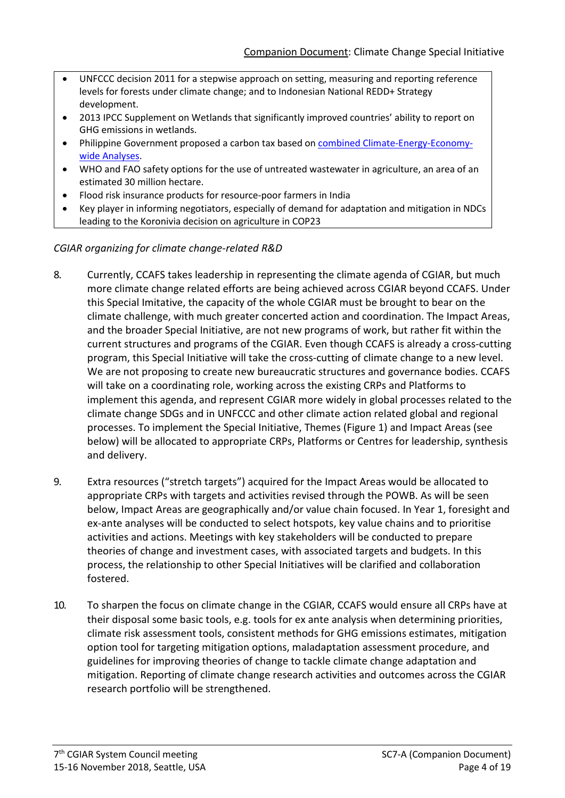- UNFCCC decision 2011 for a stepwise approach on setting, measuring and reporting reference levels for forests under climate change; and to Indonesian National REDD+ Strategy development.
- 2013 IPCC Supplement on Wetlands that significantly improved countries' ability to report on GHG emissions in wetlands.
- Philippine Government proposed a carbon tax based on **combined Climate-Energy-Economy**[wide Analyses.](https://www.sciencedirect.com/science/article/pii/S0360544218300458)
- WHO and FAO safety options for the use of untreated wastewater in agriculture, an area of an estimated 30 million hectare.
- Flood risk insurance products for resource-poor farmers in India
- Key player in informing negotiators, especially of demand for adaptation and mitigation in NDCs leading to the Koronivia decision on agriculture in COP23

## *CGIAR organizing for climate change-related R&D*

- 8. Currently, CCAFS takes leadership in representing the climate agenda of CGIAR, but much more climate change related efforts are being achieved across CGIAR beyond CCAFS. Under this Special Imitative, the capacity of the whole CGIAR must be brought to bear on the climate challenge, with much greater concerted action and coordination. The Impact Areas, and the broader Special Initiative, are not new programs of work, but rather fit within the current structures and programs of the CGIAR. Even though CCAFS is already a cross-cutting program, this Special Initiative will take the cross-cutting of climate change to a new level. We are not proposing to create new bureaucratic structures and governance bodies. CCAFS will take on a coordinating role, working across the existing CRPs and Platforms to implement this agenda, and represent CGIAR more widely in global processes related to the climate change SDGs and in UNFCCC and other climate action related global and regional processes. To implement the Special Initiative, Themes (Figure 1) and Impact Areas (see below) will be allocated to appropriate CRPs, Platforms or Centres for leadership, synthesis and delivery.
- 9. Extra resources ("stretch targets") acquired for the Impact Areas would be allocated to appropriate CRPs with targets and activities revised through the POWB. As will be seen below, Impact Areas are geographically and/or value chain focused. In Year 1, foresight and ex-ante analyses will be conducted to select hotspots, key value chains and to prioritise activities and actions. Meetings with key stakeholders will be conducted to prepare theories of change and investment cases, with associated targets and budgets. In this process, the relationship to other Special Initiatives will be clarified and collaboration fostered.
- 10. To sharpen the focus on climate change in the CGIAR, CCAFS would ensure all CRPs have at their disposal some basic tools, e.g. tools for ex ante analysis when determining priorities, climate risk assessment tools, consistent methods for GHG emissions estimates, mitigation option tool for targeting mitigation options, maladaptation assessment procedure, and guidelines for improving theories of change to tackle climate change adaptation and mitigation. Reporting of climate change research activities and outcomes across the CGIAR research portfolio will be strengthened.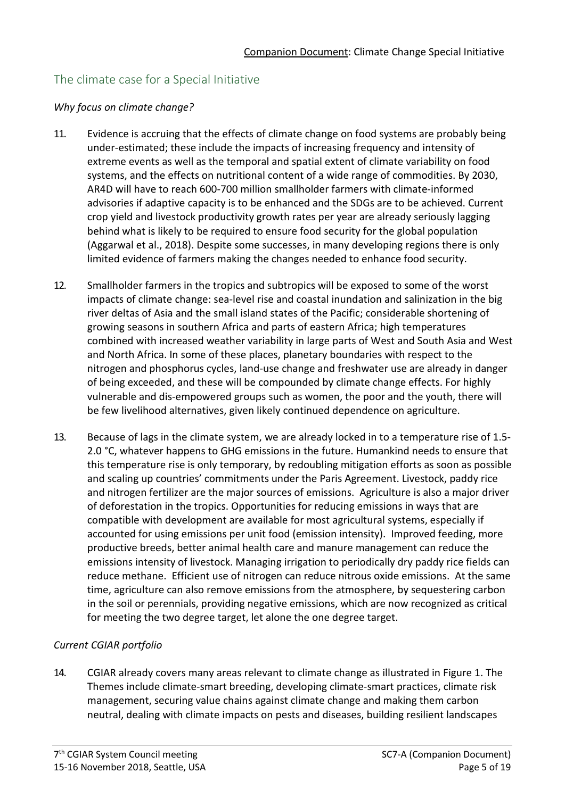# The climate case for a Special Initiative

#### *Why focus on climate change?*

- 11. Evidence is accruing that the effects of climate change on food systems are probably being under-estimated; these include the impacts of increasing frequency and intensity of extreme events as well as the temporal and spatial extent of climate variability on food systems, and the effects on nutritional content of a wide range of commodities. By 2030, AR4D will have to reach 600-700 million smallholder farmers with climate-informed advisories if adaptive capacity is to be enhanced and the SDGs are to be achieved. Current crop yield and livestock productivity growth rates per year are already seriously lagging behind what is likely to be required to ensure food security for the global population (Aggarwal et al., 2018). Despite some successes, in many developing regions there is only limited evidence of farmers making the changes needed to enhance food security.
- 12. Smallholder farmers in the tropics and subtropics will be exposed to some of the worst impacts of climate change: sea-level rise and coastal inundation and salinization in the big river deltas of Asia and the small island states of the Pacific; considerable shortening of growing seasons in southern Africa and parts of eastern Africa; high temperatures combined with increased weather variability in large parts of West and South Asia and West and North Africa. In some of these places, planetary boundaries with respect to the nitrogen and phosphorus cycles, land-use change and freshwater use are already in danger of being exceeded, and these will be compounded by climate change effects. For highly vulnerable and dis-empowered groups such as women, the poor and the youth, there will be few livelihood alternatives, given likely continued dependence on agriculture.
- 13. Because of lags in the climate system, we are already locked in to a temperature rise of 1.5- 2.0 °C, whatever happens to GHG emissions in the future. Humankind needs to ensure that this temperature rise is only temporary, by redoubling mitigation efforts as soon as possible and scaling up countries' commitments under the Paris Agreement. Livestock, paddy rice and nitrogen fertilizer are the major sources of emissions. Agriculture is also a major driver of deforestation in the tropics. Opportunities for reducing emissions in ways that are compatible with development are available for most agricultural systems, especially if accounted for using emissions per unit food (emission intensity). Improved feeding, more productive breeds, better animal health care and manure management can reduce the emissions intensity of livestock. Managing irrigation to periodically dry paddy rice fields can reduce methane. Efficient use of nitrogen can reduce nitrous oxide emissions. At the same time, agriculture can also remove emissions from the atmosphere, by sequestering carbon in the soil or perennials, providing negative emissions, which are now recognized as critical for meeting the two degree target, let alone the one degree target.

## *Current CGIAR portfolio*

14. CGIAR already covers many areas relevant to climate change as illustrated in Figure 1. The Themes include climate-smart breeding, developing climate-smart practices, climate risk management, securing value chains against climate change and making them carbon neutral, dealing with climate impacts on pests and diseases, building resilient landscapes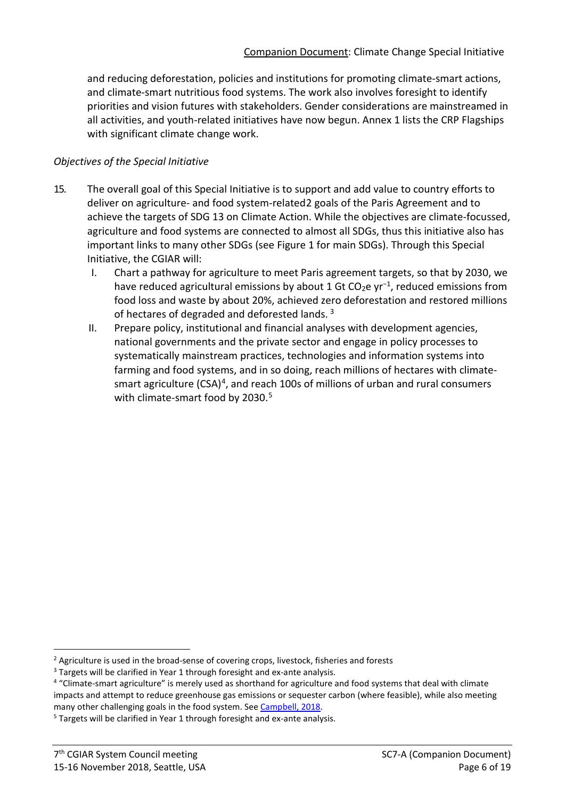and reducing deforestation, policies and institutions for promoting climate-smart actions, and climate-smart nutritious food systems. The work also involves foresight to identify priorities and vision futures with stakeholders. Gender considerations are mainstreamed in all activities, and youth-related initiatives have now begun. Annex 1 lists the CRP Flagships with significant climate change work.

#### *Objectives of the Special Initiative*

- 15. The overall goal of this Special Initiative is to support and add value to country efforts to deliver on agriculture- and food system-related[2](#page-5-0) goals of the Paris Agreement and to achieve the targets of SDG 13 on Climate Action. While the objectives are climate-focussed, agriculture and food systems are connected to almost all SDGs, thus this initiative also has important links to many other SDGs (see Figure 1 for main SDGs). Through this Special Initiative, the CGIAR will:
	- I. Chart a pathway for agriculture to meet Paris agreement targets, so that by 2030, we have reduced agricultural emissions by about 1 Gt CO<sub>2</sub>e yr<sup>-1</sup>, reduced emissions from food loss and waste by about 20%, achieved zero deforestation and restored millions of hectares of degraded and deforested lands.<sup>[3](#page-5-1)</sup>
	- II. Prepare policy, institutional and financial analyses with development agencies, national governments and the private sector and engage in policy processes to systematically mainstream practices, technologies and information systems into farming and food systems, and in so doing, reach millions of hectares with climatesmart agriculture  $(CSA)^4$ , and reach 100s of millions of urban and rural consumers with climate-smart food by 2030.<sup>[5](#page-5-3)</sup>

<span id="page-5-0"></span><sup>&</sup>lt;sup>2</sup> Agriculture is used in the broad-sense of covering crops, livestock, fisheries and forests  $3$  Targets will be clarified in Year 1 through foresight and ex-ante analysis.

<span id="page-5-1"></span>

<span id="page-5-2"></span><sup>4</sup> "Climate-smart agriculture" is merely used as shorthand for agriculture and food systems that deal with climate impacts and attempt to reduce greenhouse gas emissions or sequester carbon (where feasible), while also meeting many other challenging goals in the food system. Se[e Campbell, 2018.](https://www.rural21.com/english/news/detail/article/climate-smart-agriculture-what-is-it-00002611/?tx_ttnews%5BsViewPointer%5D=11&cHash=e19aaac1cbc93a559a8636dd7c59c948)

<span id="page-5-3"></span><sup>&</sup>lt;sup>5</sup> Targets will be clarified in Year 1 through foresight and ex-ante analysis.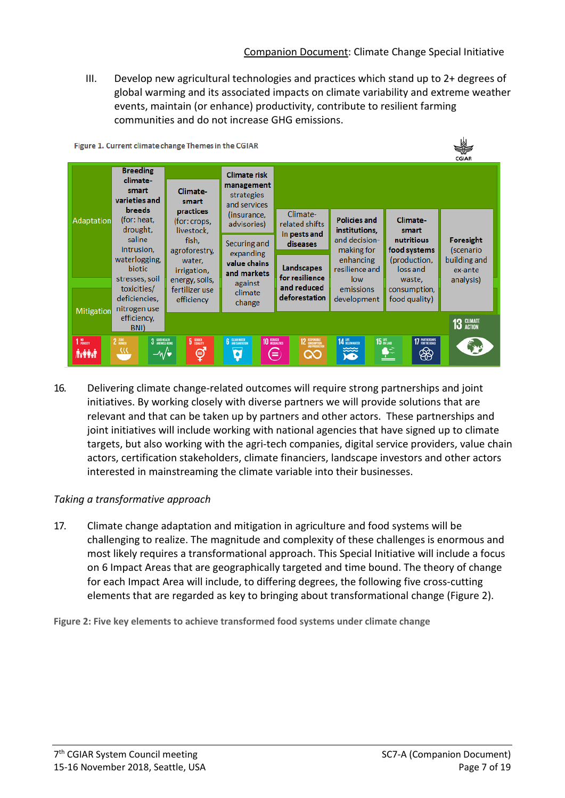III. Develop new agricultural technologies and practices which stand up to 2+ degrees of global warming and its associated impacts on climate variability and extreme weather events, maintain (or enhance) productivity, contribute to resilient farming communities and do not increase GHG emissions.



16. Delivering climate change-related outcomes will require strong partnerships and joint initiatives. By working closely with diverse partners we will provide solutions that are relevant and that can be taken up by partners and other actors. These partnerships and joint initiatives will include working with national agencies that have signed up to climate targets, but also working with the agri-tech companies, digital service providers, value chain actors, certification stakeholders, climate financiers, landscape investors and other actors interested in mainstreaming the climate variable into their businesses.

## *Taking a transformative approach*

17. Climate change adaptation and mitigation in agriculture and food systems will be challenging to realize. The magnitude and complexity of these challenges is enormous and most likely requires a transformational approach. This Special Initiative will include a focus on 6 Impact Areas that are geographically targeted and time bound. The theory of change for each Impact Area will include, to differing degrees, the following five cross-cutting elements that are regarded as key to bringing about transformational change (Figure 2).

**Figure 2: Five key elements to achieve transformed food systems under climate change**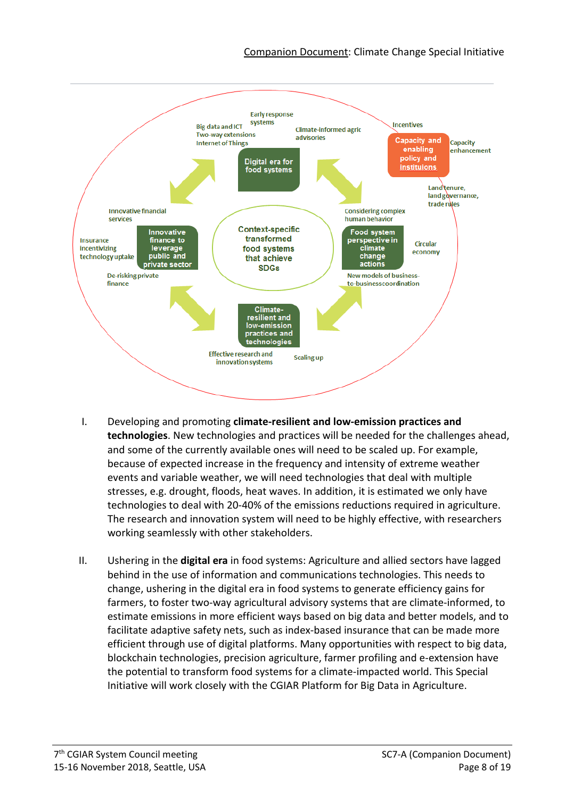#### Companion Document: Climate Change Special Initiative



- I. Developing and promoting **climate-resilient and low-emission practices and technologies**. New technologies and practices will be needed for the challenges ahead, and some of the currently available ones will need to be scaled up. For example, because of expected increase in the frequency and intensity of extreme weather events and variable weather, we will need technologies that deal with multiple stresses, e.g. drought, floods, heat waves. In addition, it is estimated we only have technologies to deal with 20-40% of the emissions reductions required in agriculture. The research and innovation system will need to be highly effective, with researchers working seamlessly with other stakeholders.
- II. Ushering in the **digital era** in food systems: Agriculture and allied sectors have lagged behind in the use of information and communications technologies. This needs to change, ushering in the digital era in food systems to generate efficiency gains for farmers, to foster two-way agricultural advisory systems that are climate-informed, to estimate emissions in more efficient ways based on big data and better models, and to facilitate adaptive safety nets, such as index-based insurance that can be made more efficient through use of digital platforms. Many opportunities with respect to big data, blockchain technologies, precision agriculture, farmer profiling and e-extension have the potential to transform food systems for a climate-impacted world. This Special Initiative will work closely with the CGIAR Platform for Big Data in Agriculture.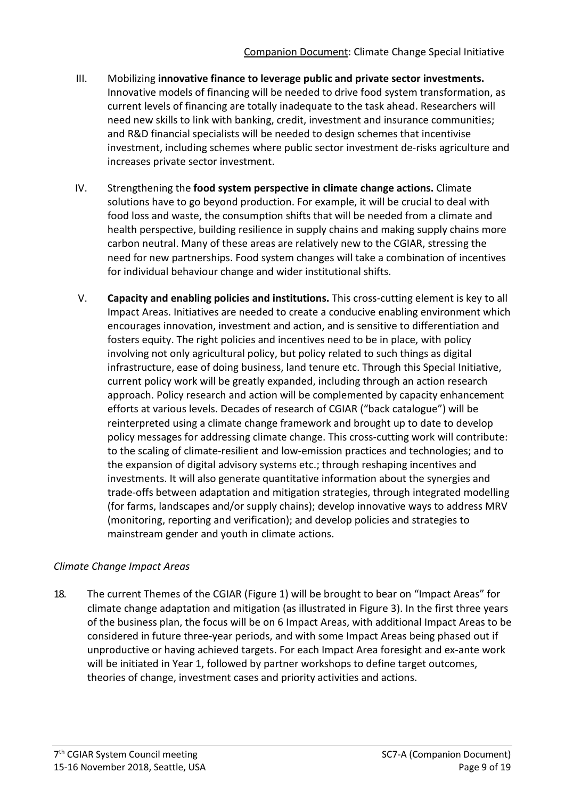- III. Mobilizing **innovative finance to leverage public and private sector investments.**  Innovative models of financing will be needed to drive food system transformation, as current levels of financing are totally inadequate to the task ahead. Researchers will need new skills to link with banking, credit, investment and insurance communities; and R&D financial specialists will be needed to design schemes that incentivise investment, including schemes where public sector investment de-risks agriculture and increases private sector investment.
- IV. Strengthening the **food system perspective in climate change actions.** Climate solutions have to go beyond production. For example, it will be crucial to deal with food loss and waste, the consumption shifts that will be needed from a climate and health perspective, building resilience in supply chains and making supply chains more carbon neutral. Many of these areas are relatively new to the CGIAR, stressing the need for new partnerships. Food system changes will take a combination of incentives for individual behaviour change and wider institutional shifts.
- V. **Capacity and enabling policies and institutions.** This cross-cutting element is key to all Impact Areas. Initiatives are needed to create a conducive enabling environment which encourages innovation, investment and action, and is sensitive to differentiation and fosters equity. The right policies and incentives need to be in place, with policy involving not only agricultural policy, but policy related to such things as digital infrastructure, ease of doing business, land tenure etc. Through this Special Initiative, current policy work will be greatly expanded, including through an action research approach. Policy research and action will be complemented by capacity enhancement efforts at various levels. Decades of research of CGIAR ("back catalogue") will be reinterpreted using a climate change framework and brought up to date to develop policy messages for addressing climate change. This cross-cutting work will contribute: to the scaling of climate-resilient and low-emission practices and technologies; and to the expansion of digital advisory systems etc.; through reshaping incentives and investments. It will also generate quantitative information about the synergies and trade-offs between adaptation and mitigation strategies, through integrated modelling (for farms, landscapes and/or supply chains); develop innovative ways to address MRV (monitoring, reporting and verification); and develop policies and strategies to mainstream gender and youth in climate actions.

## *Climate Change Impact Areas*

18. The current Themes of the CGIAR (Figure 1) will be brought to bear on "Impact Areas" for climate change adaptation and mitigation (as illustrated in Figure 3). In the first three years of the business plan, the focus will be on 6 Impact Areas, with additional Impact Areas to be considered in future three-year periods, and with some Impact Areas being phased out if unproductive or having achieved targets. For each Impact Area foresight and ex-ante work will be initiated in Year 1, followed by partner workshops to define target outcomes, theories of change, investment cases and priority activities and actions.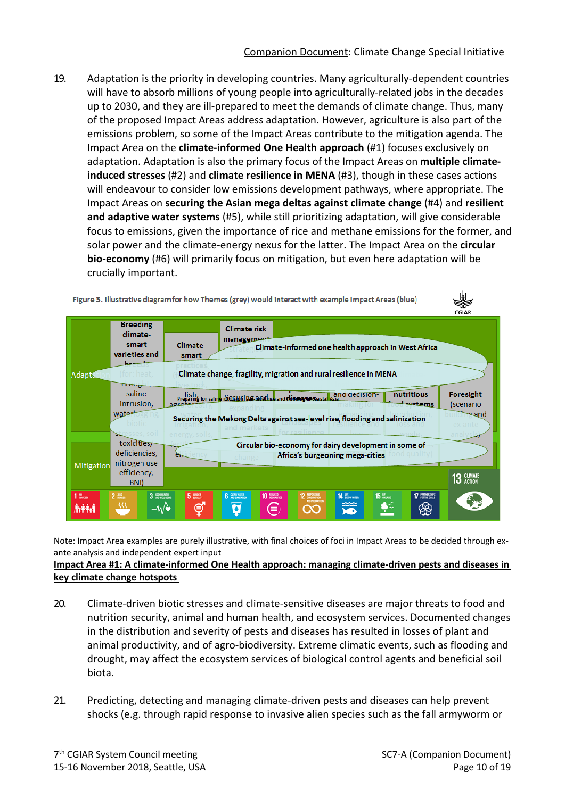19. Adaptation is the priority in developing countries. Many agriculturally-dependent countries will have to absorb millions of young people into agriculturally-related jobs in the decades up to 2030, and they are ill-prepared to meet the demands of climate change. Thus, many of the proposed Impact Areas address adaptation. However, agriculture is also part of the emissions problem, so some of the Impact Areas contribute to the mitigation agenda. The Impact Area on the **climate-informed One Health approach** (#1) focuses exclusively on adaptation. Adaptation is also the primary focus of the Impact Areas on **multiple climateinduced stresses** (#2) and **climate resilience in MENA** (#3), though in these cases actions will endeavour to consider low emissions development pathways, where appropriate. The Impact Areas on **securing the Asian mega deltas against climate change** (#4) and **resilient and adaptive water systems** (#5), while still prioritizing adaptation, will give considerable focus to emissions, given the importance of rice and methane emissions for the former, and solar power and the climate-energy nexus for the latter. The Impact Area on the **circular bio-economy** (#6) will primarily focus on mitigation, but even here adaptation will be crucially important.



Note: Impact Area examples are purely illustrative, with final choices of foci in Impact Areas to be decided through exante analysis and independent expert input

#### **Impact Area #1: A climate-informed One Health approach: managing climate-driven pests and diseases in key climate change hotspots**

- 20. Climate-driven biotic stresses and climate-sensitive diseases are major threats to food and nutrition security, animal and human health, and ecosystem services. Documented changes in the distribution and severity of pests and diseases has resulted in losses of plant and animal productivity, and of agro-biodiversity. Extreme climatic events, such as flooding and drought, may affect the ecosystem services of biological control agents and beneficial soil biota.
- 21. Predicting, detecting and managing climate-driven pests and diseases can help prevent shocks (e.g. through rapid response to invasive alien species such as the fall armyworm or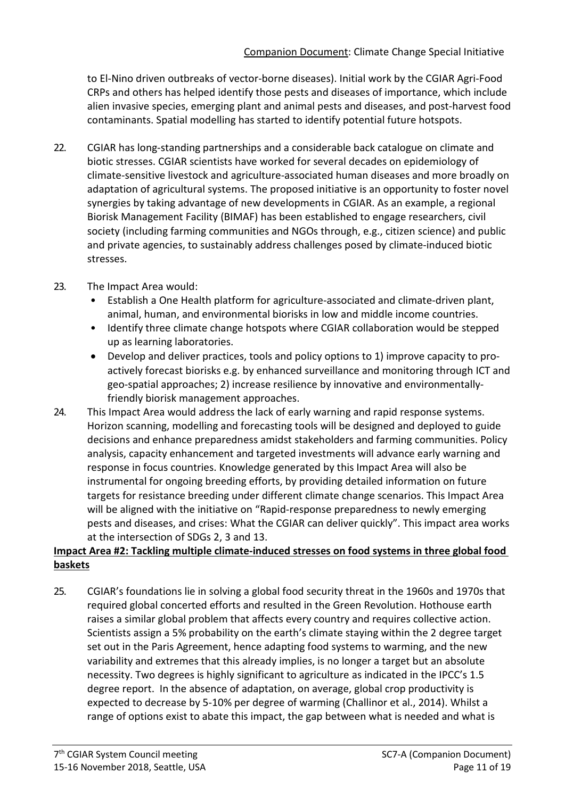to El-Nino driven outbreaks of vector-borne diseases). Initial work by the CGIAR Agri-Food CRPs and others has helped identify those pests and diseases of importance, which include alien invasive species, emerging plant and animal pests and diseases, and post-harvest food contaminants. Spatial modelling has started to identify potential future hotspots.

22. CGIAR has long-standing partnerships and a considerable back catalogue on climate and biotic stresses. CGIAR scientists have worked for several decades on epidemiology of climate-sensitive livestock and agriculture-associated human diseases and more broadly on adaptation of agricultural systems. The proposed initiative is an opportunity to foster novel synergies by taking advantage of new developments in CGIAR. As an example, a regional Biorisk Management Facility (BIMAF) has been established to engage researchers, civil society (including farming communities and NGOs through, e.g., citizen science) and public and private agencies, to sustainably address challenges posed by climate-induced biotic stresses.

## 23. The Impact Area would:

- Establish a One Health platform for agriculture-associated and climate-driven plant, animal, human, and environmental biorisks in low and middle income countries.
- Identify three climate change hotspots where CGIAR collaboration would be stepped up as learning laboratories.
- Develop and deliver practices, tools and policy options to 1) improve capacity to proactively forecast biorisks e.g. by enhanced surveillance and monitoring through ICT and geo-spatial approaches; 2) increase resilience by innovative and environmentallyfriendly biorisk management approaches.
- 24. This Impact Area would address the lack of early warning and rapid response systems. Horizon scanning, modelling and forecasting tools will be designed and deployed to guide decisions and enhance preparedness amidst stakeholders and farming communities. Policy analysis, capacity enhancement and targeted investments will advance early warning and response in focus countries. Knowledge generated by this Impact Area will also be instrumental for ongoing breeding efforts, by providing detailed information on future targets for resistance breeding under different climate change scenarios. This Impact Area will be aligned with the initiative on "Rapid-response preparedness to newly emerging pests and diseases, and crises: What the CGIAR can deliver quickly". This impact area works at the intersection of SDGs 2, 3 and 13.

## **Impact Area #2: Tackling multiple climate-induced stresses on food systems in three global food baskets**

25. CGIAR's foundations lie in solving a global food security threat in the 1960s and 1970s that required global concerted efforts and resulted in the Green Revolution. [Hothouse](https://www.nature.com/articles/nclimate3352?foxtrotcallback=true) earth raises a similar global problem that affects every country and requires collective action. Scientists assign a 5% probability on the earth's climate staying within the 2 degree target set out in the Paris Agreement, hence adapting food systems to warming, and the new variability and extremes that this already implies, is no longer a target but an absolute necessity. Two degrees is highly significant to agriculture as indicated in the IPCC's 1.5 degree report. In the absence of adaptation, on average, global crop productivity is expected to decrease by 5-10% per degree of warming (Challinor et al., 2014). Whilst a range of options exist to abate this impact, the gap between what is needed and what is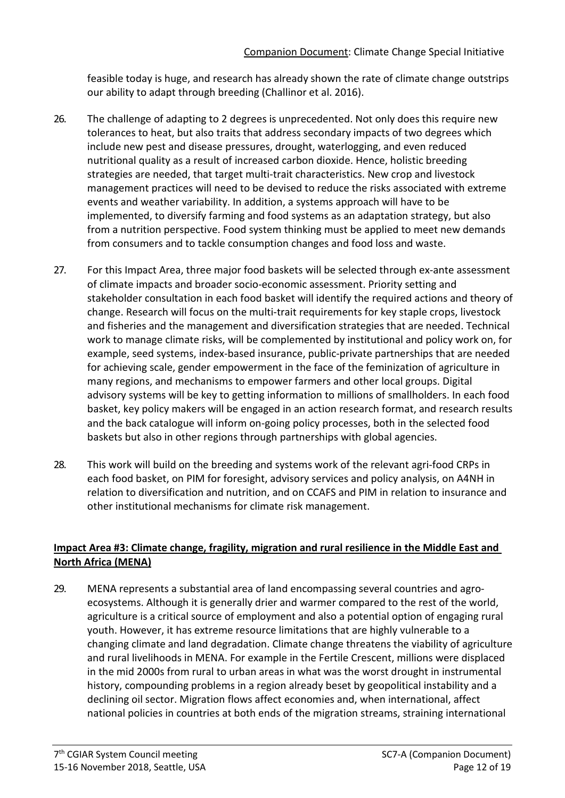feasible today is huge, and research has already shown the rate of climate change outstrips our ability to adapt through breeding (Challinor et al. 2016).

- 26. The challenge of adapting to 2 degrees is unprecedented. Not only does this require new tolerances to heat, but also traits that address secondary impacts of two degrees which include new pest and disease pressures, drought, waterlogging, and even reduced nutritional quality as a result of increased carbon dioxide. Hence, holistic breeding strategies are needed, that target multi-trait characteristics. New crop and livestock management practices will need to be devised to reduce the risks associated with extreme events and weather variability. In addition, a systems approach will have to be implemented, to diversify farming and food systems as an adaptation strategy, but also from a nutrition perspective. Food system thinking must be applied to meet new demands from consumers and to tackle consumption changes and food loss and waste.
- 27. For this Impact Area, three major food baskets will be selected through ex-ante assessment of climate impacts and broader socio-economic assessment. Priority setting and stakeholder consultation in each food basket will identify the required actions and theory of change. Research will focus on the multi-trait requirements for key staple crops, livestock and fisheries and the management and diversification strategies that are needed. Technical work to manage climate risks, will be complemented by institutional and policy work on, for example, seed systems, index-based insurance, public-private partnerships that are needed for achieving scale, gender empowerment in the face of the feminization of agriculture in many regions, and mechanisms to empower farmers and other local groups. Digital advisory systems will be key to getting information to millions of smallholders. In each food basket, key policy makers will be engaged in an action research format, and research results and the back catalogue will inform on-going policy processes, both in the selected food baskets but also in other regions through partnerships with global agencies.
- 28. This work will build on the breeding and systems work of the relevant agri-food CRPs in each food basket, on PIM for foresight, advisory services and policy analysis, on A4NH in relation to diversification and nutrition, and on CCAFS and PIM in relation to insurance and other institutional mechanisms for climate risk management.

## **Impact Area #3: Climate change, fragility, migration and rural resilience in the Middle East and North Africa (MENA)**

29. MENA represents a substantial area of land encompassing several countries and agroecosystems. Although it is generally drier and warmer compared to the rest of the world, agriculture is a critical source of employment and also a potential option of engaging rural youth. However, it has extreme resource limitations that are highly vulnerable to a changing climate and land degradation. Climate change threatens the viability of agriculture and rural livelihoods in MENA. For example in the Fertile Crescent, millions were displaced in the mid 2000s from rural to urban areas in what was the worst drought in instrumental history, compounding problems in a region already beset by geopolitical instability and a declining oil sector. Migration flows affect economies and, when international, affect national policies in countries at both ends of the migration streams, straining international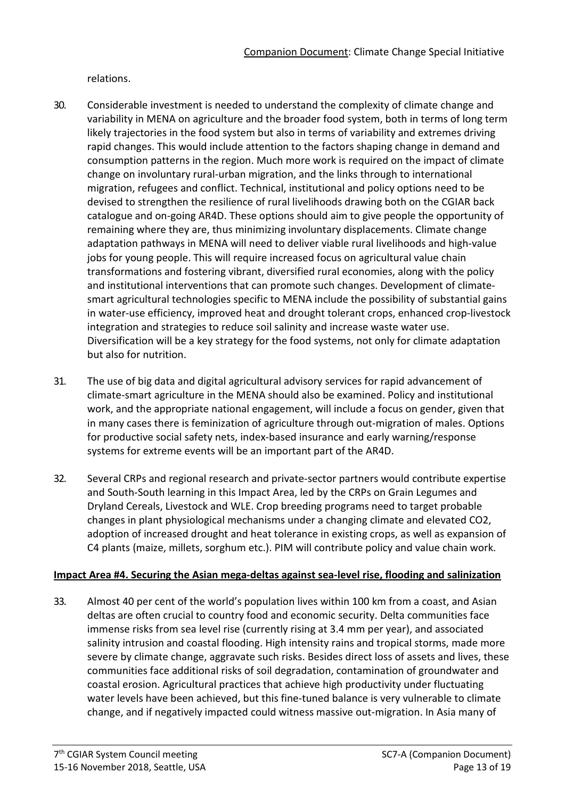relations.

- 30. Considerable investment is needed to understand the complexity of climate change and variability in MENA on agriculture and the broader food system, both in terms of long term likely trajectories in the food system but also in terms of variability and extremes driving rapid changes. This would include attention to the factors shaping change in demand and consumption patterns in the region. Much more work is required on the impact of climate change on involuntary rural-urban migration, and the links through to international migration, refugees and conflict. Technical, institutional and policy options need to be devised to strengthen the resilience of rural livelihoods drawing both on the CGIAR back catalogue and on-going AR4D. These options should aim to give people the opportunity of remaining where they are, thus minimizing involuntary displacements. Climate change adaptation pathways in MENA will need to deliver viable rural livelihoods and high-value jobs for young people. This will require increased focus on agricultural value chain transformations and fostering vibrant, diversified rural economies, along with the policy and institutional interventions that can promote such changes. Development of climatesmart agricultural technologies specific to MENA include the possibility of substantial gains in water-use efficiency, improved heat and drought tolerant crops, enhanced crop-livestock integration and strategies to reduce soil salinity and increase waste water use. Diversification will be a key strategy for the food systems, not only for climate adaptation but also for nutrition.
- 31. The use of big data and digital agricultural advisory services for rapid advancement of climate-smart agriculture in the MENA should also be examined. Policy and institutional work, and the appropriate national engagement, will include a focus on gender, given that in many cases there is feminization of agriculture through out-migration of males. Options for productive social safety nets, index-based insurance and early warning/response systems for extreme events will be an important part of the AR4D.
- 32. Several CRPs and regional research and private-sector partners would contribute expertise and South-South learning in this Impact Area, led by the CRPs on Grain Legumes and Dryland Cereals, Livestock and WLE. Crop breeding programs need to target probable changes in plant physiological mechanisms under a changing climate and elevated CO2, adoption of increased drought and heat tolerance in existing crops, as well as expansion of C4 plants (maize, millets, sorghum etc.). PIM will contribute policy and value chain work.

#### **Impact Area #4. Securing the Asian mega-deltas against sea-level rise, flooding and salinization**

33. Almost 40 per cent of the world's population lives within 100 km from a coast, and Asian deltas are often crucial to country food and economic security. Delta communities face immense risks from sea level rise (currently rising at 3.4 mm per year), and associated salinity intrusion and coastal flooding. High intensity rains and tropical storms, made more severe by climate change, aggravate such risks. Besides direct loss of assets and lives, these communities face additional risks of soil degradation, contamination of groundwater and coastal erosion. Agricultural practices that achieve high productivity under fluctuating water levels have been achieved, but this fine-tuned balance is very vulnerable to climate change, and if negatively impacted could witness massive out-migration. In Asia many of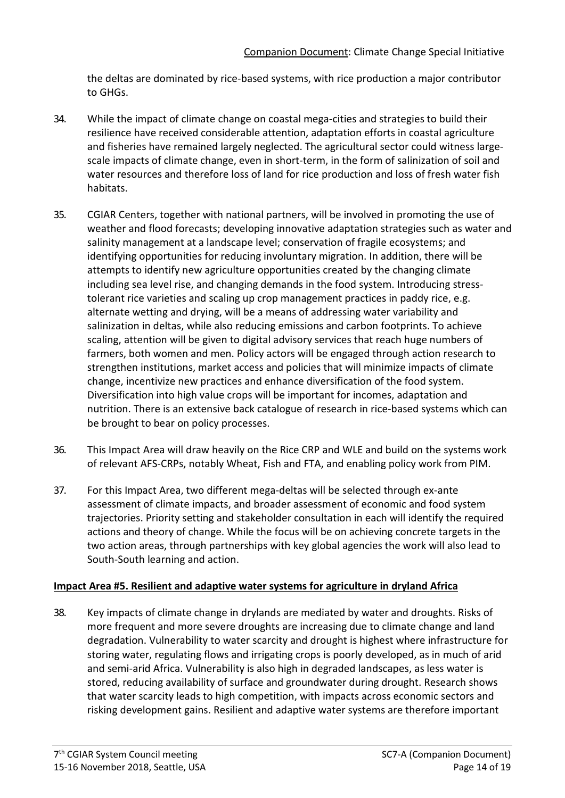the deltas are dominated by rice-based systems, with rice production a major contributor to GHGs.

- 34. While the impact of climate change on coastal mega-cities and strategies to build their resilience have received considerable attention, adaptation efforts in coastal agriculture and fisheries have remained largely neglected. The agricultural sector could witness largescale impacts of climate change, even in short-term, in the form of salinization of soil and water resources and therefore loss of land for rice production and loss of fresh water fish habitats.
- 35. CGIAR Centers, together with national partners, will be involved in promoting the use of weather and flood forecasts; developing innovative adaptation strategies such as water and salinity management at a landscape level; conservation of fragile ecosystems; and identifying opportunities for reducing involuntary migration. In addition, there will be attempts to identify new agriculture opportunities created by the changing climate including sea level rise, and changing demands in the food system. Introducing stresstolerant rice varieties and scaling up crop management practices in paddy rice, e.g. alternate wetting and drying, will be a means of addressing water variability and salinization in deltas, while also reducing emissions and carbon footprints. To achieve scaling, attention will be given to digital advisory services that reach huge numbers of farmers, both women and men. Policy actors will be engaged through action research to strengthen institutions, market access and policies that will minimize impacts of climate change, incentivize new practices and enhance diversification of the food system. Diversification into high value crops will be important for incomes, adaptation and nutrition. There is an extensive back catalogue of research in rice-based systems which can be brought to bear on policy processes.
- 36. This Impact Area will draw heavily on the Rice CRP and WLE and build on the systems work of relevant AFS-CRPs, notably Wheat, Fish and FTA, and enabling policy work from PIM.
- 37. For this Impact Area, two different mega-deltas will be selected through ex-ante assessment of climate impacts, and broader assessment of economic and food system trajectories. Priority setting and stakeholder consultation in each will identify the required actions and theory of change. While the focus will be on achieving concrete targets in the two action areas, through partnerships with key global agencies the work will also lead to South-South learning and action.

#### **Impact Area #5. Resilient and adaptive water systems for agriculture in dryland Africa**

38. Key impacts of climate change in drylands are mediated by water and droughts. Risks of more frequent and more severe droughts are increasing due to climate change and land degradation. Vulnerability to water scarcity and drought is highest where infrastructure for storing water, regulating flows and irrigating crops is poorly developed, as in much of arid and semi-arid Africa. Vulnerability is also high in degraded landscapes, as less water is stored, reducing availability of surface and groundwater during drought. Research shows that water scarcity leads to high competition, with impacts across economic sectors and risking development gains. Resilient and adaptive water systems are therefore important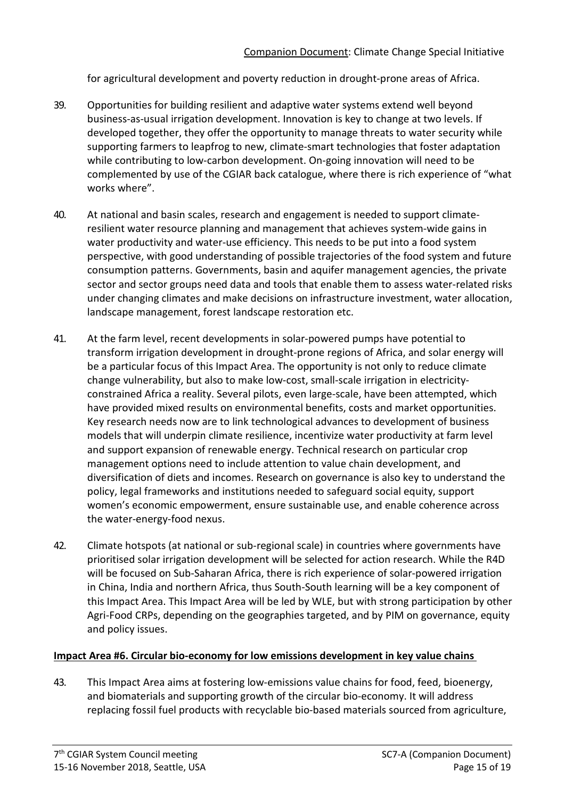for agricultural development and poverty reduction in drought-prone areas of Africa.

- 39. Opportunities for building resilient and adaptive water systems extend well beyond business-as-usual irrigation development. Innovation is key to change at two levels. If developed together, they offer the opportunity to manage threats to water security while supporting farmers to leapfrog to new, climate-smart technologies that foster adaptation while contributing to low-carbon development. On-going innovation will need to be complemented by use of the CGIAR back catalogue, where there is rich experience of "what works where".
- 40. At national and basin scales, research and engagement is needed to support climateresilient water resource planning and management that achieves system-wide gains in water productivity and water-use efficiency. This needs to be put into a food system perspective, with good understanding of possible trajectories of the food system and future consumption patterns. Governments, basin and aquifer management agencies, the private sector and sector groups need data and tools that enable them to assess water-related risks under changing climates and make decisions on infrastructure investment, water allocation, landscape management, forest landscape restoration etc.
- 41. At the farm level, recent developments in solar-powered pumps have potential to transform irrigation development in drought-prone regions of Africa, and solar energy will be a particular focus of this Impact Area. The opportunity is not only to reduce climate change vulnerability, but also to make low-cost, small-scale irrigation in electricityconstrained Africa a reality. Several pilots, even large-scale, have been attempted, which have provided mixed results on environmental benefits, costs and market opportunities. Key research needs now are to link technological advances to development of business models that will underpin climate resilience, incentivize water productivity at farm level and support expansion of renewable energy. Technical research on particular crop management options need to include attention to value chain development, and diversification of diets and incomes. Research on governance is also key to understand the policy, legal frameworks and institutions needed to safeguard social equity, support women's economic empowerment, ensure sustainable use, and enable coherence across the water-energy-food nexus.
- 42. Climate hotspots (at national or sub-regional scale) in countries where governments have prioritised solar irrigation development will be selected for action research. While the R4D will be focused on Sub-Saharan Africa, there is rich experience of solar-powered irrigation in China, India and northern Africa, thus South-South learning will be a key component of this Impact Area. This Impact Area will be led by WLE, but with strong participation by other Agri-Food CRPs, depending on the geographies targeted, and by PIM on governance, equity and policy issues.

#### **Impact Area #6. Circular bio-economy for low emissions development in key value chains**

43. This Impact Area aims at fostering low-emissions value chains for food, feed, bioenergy, and biomaterials and supporting growth of the circular bio-economy. It will address replacing fossil fuel products with recyclable bio-based materials sourced from agriculture,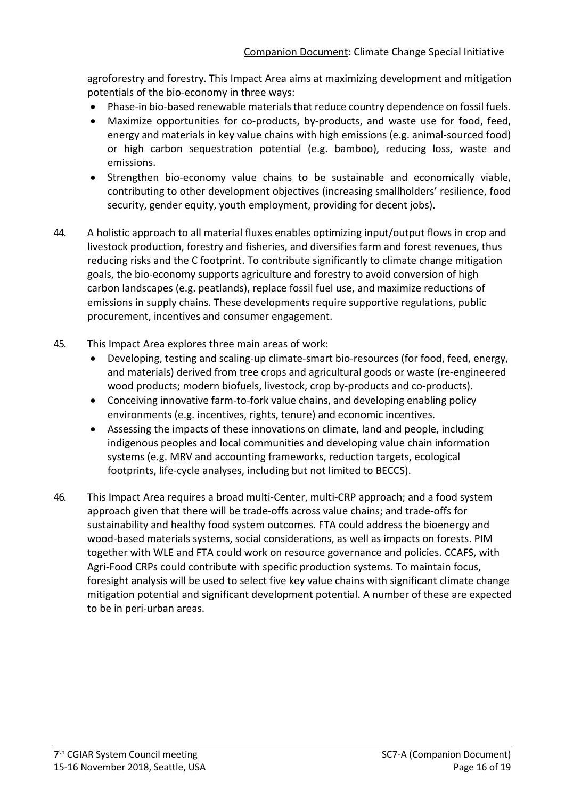agroforestry and forestry. This Impact Area aims at maximizing development and mitigation potentials of the bio-economy in three ways:

- Phase-in bio-based renewable materials that reduce country dependence on fossil fuels.
- Maximize opportunities for co-products, by-products, and waste use for food, feed, energy and materials in key value chains with high emissions (e.g. animal-sourced food) or high carbon sequestration potential (e.g. bamboo), reducing loss, waste and emissions.
- Strengthen bio-economy value chains to be sustainable and economically viable, contributing to other development objectives (increasing smallholders' resilience, food security, gender equity, youth employment, providing for decent jobs).
- 44. A holistic approach to all material fluxes enables optimizing input/output flows in crop and livestock production, forestry and fisheries, and diversifies farm and forest revenues, thus reducing risks and the C footprint. To contribute significantly to climate change mitigation goals, the bio-economy supports agriculture and forestry to avoid conversion of high carbon landscapes (e.g. peatlands), replace fossil fuel use, and maximize reductions of emissions in supply chains. These developments require supportive regulations, public procurement, incentives and consumer engagement.
- 45. This Impact Area explores three main areas of work:
	- Developing, testing and scaling-up climate-smart bio-resources (for food, feed, energy, and materials) derived from tree crops and agricultural goods or waste (re-engineered wood products; modern biofuels, livestock, crop by-products and co-products).
	- Conceiving innovative farm-to-fork value chains, and developing enabling policy environments (e.g. incentives, rights, tenure) and economic incentives.
	- Assessing the impacts of these innovations on climate, land and people, including indigenous peoples and local communities and developing value chain information systems (e.g. MRV and accounting frameworks, reduction targets, ecological footprints, life-cycle analyses, including but not limited to BECCS).
- 46. This Impact Area requires a broad multi-Center, multi-CRP approach; and a food system approach given that there will be trade-offs across value chains; and trade-offs for sustainability and healthy food system outcomes. FTA could address the bioenergy and wood-based materials systems, social considerations, as well as impacts on forests. PIM together with WLE and FTA could work on resource governance and policies. CCAFS, with Agri-Food CRPs could contribute with specific production systems. To maintain focus, foresight analysis will be used to select five key value chains with significant climate change mitigation potential and significant development potential. A number of these are expected to be in peri-urban areas.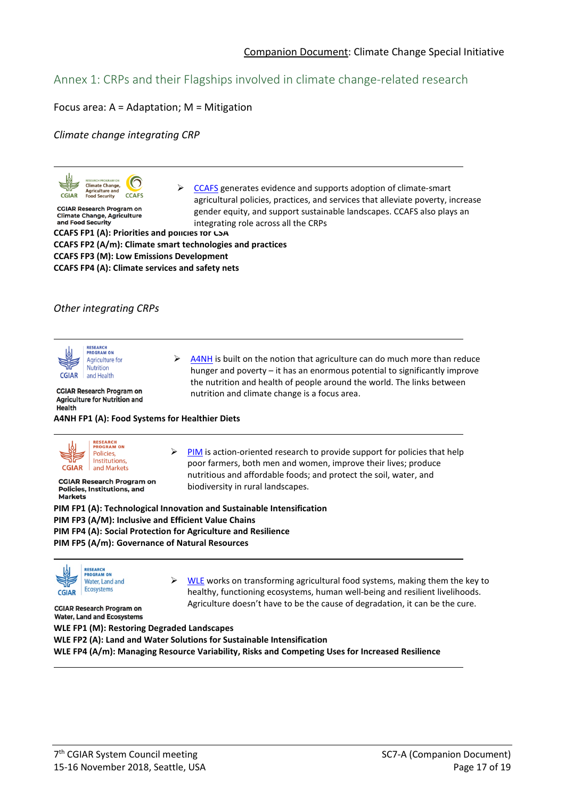# Annex 1: CRPs and their Flagships involved in climate change-related research

#### Focus area: A = Adaptation; M = Mitigation

*Climate change integrating CRP*



**CGIAR Research Program on Climate Change, Agriculture** and Food Security

 $\triangleright$  [CCAFS](https://www.cgiar.org/research/program-platform/climate-change-agriculture-and-food-security/) generates evidence and supports adoption of climate-smart agricultural policies, practices, and services that alleviate poverty, increase gender equity, and support sustainable landscapes. CCAFS also plays an integrating role across all the CRPs

**CCAFS FP1 (A): Priorities and policies for CSA CCAFS FP2 (A/m): Climate smart technologies and practices CCAFS FP3 (M): Low Emissions Development CCAFS FP4 (A): Climate services and safety nets**

#### *Other integrating CRPs*



**CGIAR Research Program on Agriculture for Nutrition and Health A4NH FP1 (A): Food Systems for Healthier Diets** 



**CGIAR Research Program on** Policies, Institutions, and **Markets** 

 $\triangleright$  [A4NH](https://www.cgiar.org/research/program-platform/agriculture-for-nutrition-and-health/) is built on the notion that agriculture can do much more than reduce hunger and poverty – it has an enormous potential to significantly improve the nutrition and health of people around the world. The links between nutrition and climate change is a focus area.

 [PIM](http://pim.cgiar.org/) is action-oriented research to provide support for policies that help poor farmers, both men and women, improve their lives; produce nutritious and affordable foods; and protect the soil, water, and biodiversity in rural landscapes.

**PIM FP1 (A): Technological Innovation and Sustainable Intensification PIM FP3 (A/M): Inclusive and Efficient Value Chains PIM FP4 (A): Social Protection for Agriculture and Resilience PIM FP5 (A/m): Governance of Natural Resources**



 $\triangleright$  [WLE](https://www.cgiar.org/research/program-platform/water-land-and-ecosystems/) works on transforming agricultural food systems, making them the key to healthy, functioning ecosystems, human well-being and resilient livelihoods. Agriculture doesn't have to be the cause of degradation, it can be the cure.

**CGIAR Research Program on Water, Land and Ecosystems** 

**WLE FP1 (M): Restoring Degraded Landscapes WLE FP2 (A): Land and Water Solutions for Sustainable Intensification WLE FP4 (A/m): Managing Resource Variability, Risks and Competing Uses for Increased Resilience**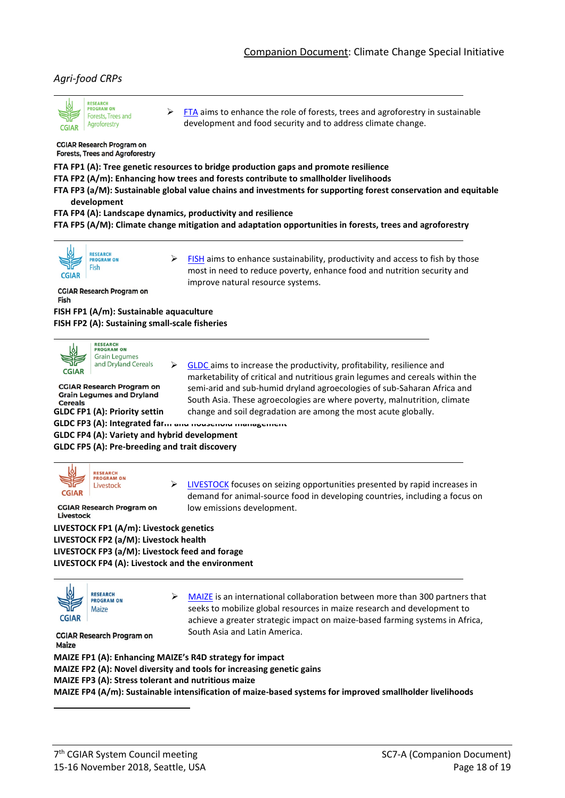#### *Agri-food CRPs*



 $\triangleright$  [FTA](https://www.cgiar.org/research/program-platform/forests-trees-and-agroforestry/) aims to enhance the role of forests, trees and agroforestry in sustainable development and food security and to address climate change.

**CGIAR Research Program on Forests, Trees and Agroforestry** 

**FTA FP1 (A): Tree genetic resources to bridge production gaps and promote resilience**

**FTA FP2 (A/m): Enhancing how trees and forests contribute to smallholder livelihoods**

**FTA FP3 (a/M): Sustainable global value chains and investments for supporting forest conservation and equitable development**

**FTA FP4 (A): Landscape dynamics, productivity and resilience**

**FTA FP5 (A/M): Climate change mitigation and adaptation opportunities in forests, trees and agroforestry**



 $\triangleright$  [FISH](https://www.cgiar.org/research/program-platform/fish/) aims to enhance sustainability, productivity and access to fish by those most in need to reduce poverty, enhance food and nutrition security and improve natural resource systems.

marketability of critical and nutritious grain legumes and cereals within the semi-arid and sub-humid dryland agroecologies of sub-Saharan Africa and South Asia. These agroecologies are where poverty, malnutrition, climate

 $\triangleright$  [GLDC](https://www.cgiar.org/research/program-platform/grain-legumes-and-dryland-cereals/) aims to increase the productivity, profitability, resilience and

change and soil degradation are among the most acute globally.

**CGIAR Research Program on** Fish

**FISH FP1 (A/m): Sustainable aquaculture FISH FP2 (A): Sustaining small-scale fisheries**



**RESEARCH<br>PROGRAM ON Grain Legumes** and Dryland Cereals

**CGIAR Research Program on Grain Legumes and Dryland Cereals** 

**GLDC FP1 (A): Priority settin** 

**GLDC FP3 (A): Integrated farm and household management GLDC FP4 (A): Variety and hybrid development**

**GLDC FP5 (A): Pre-breeding and trait discovery**



 [LIVESTOCK](https://www.cgiar.org/research/program-platform/livestock/) focuses on seizing opportunities presented by rapid increases in demand for animal-source food in developing countries, including a focus on low emissions development.

**CGIAR Research Program on** Livestock

**LIVESTOCK FP1 (A/m): Livestock genetics LIVESTOCK FP2 (a/M): Livestock health LIVESTOCK FP3 (a/M): Livestock feed and forage LIVESTOCK FP4 (A): Livestock and the environment**



 $\triangleright$  [MAIZE](https://www.cgiar.org/research/program-platform/maize/) is an international collaboration between more than 300 partners that seeks to mobilize global resources in maize research and development to achieve a greater strategic impact on maize-based farming systems in Africa, South Asia and Latin America.

**CGIAR Research Program on** Maize

**MAIZE FP1 (A): Enhancing MAIZE's R4D strategy for impact MAIZE FP2 (A): Novel diversity and tools for increasing genetic gains MAIZE FP3 (A): Stress tolerant and nutritious maize MAIZE FP4 (A/m): Sustainable intensification of maize-based systems for improved smallholder livelihoods**